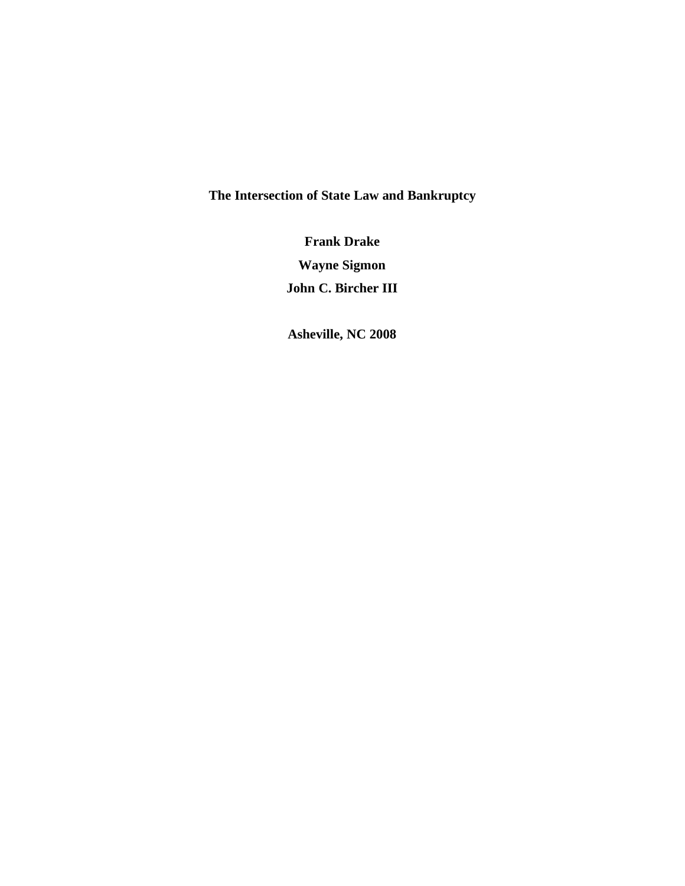**The Intersection of State Law and Bankruptcy** 

**Frank Drake Wayne Sigmon John C. Bircher III** 

**Asheville, NC 2008**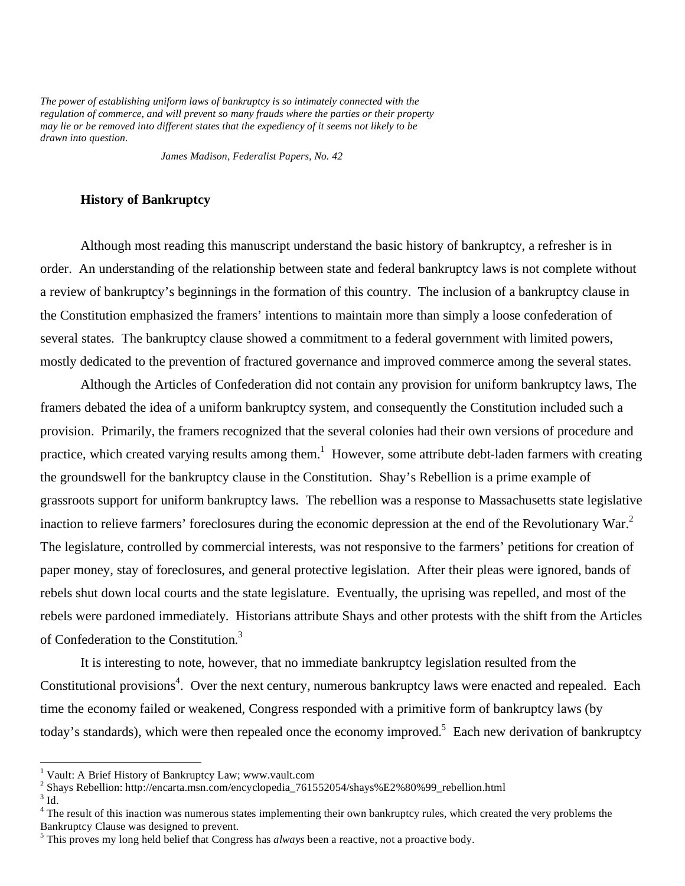*The power of establishing uniform laws of bankruptcy is so intimately connected with the regulation of commerce, and will prevent so many frauds where the parties or their property may lie or be removed into different states that the expediency of it seems not likely to be drawn into question.* 

 *James Madison, Federalist Papers, No. 42*

# **History of Bankruptcy**

Although most reading this manuscript understand the basic history of bankruptcy, a refresher is in order. An understanding of the relationship between state and federal bankruptcy laws is not complete without a review of bankruptcy's beginnings in the formation of this country. The inclusion of a bankruptcy clause in the Constitution emphasized the framers' intentions to maintain more than simply a loose confederation of several states. The bankruptcy clause showed a commitment to a federal government with limited powers, mostly dedicated to the prevention of fractured governance and improved commerce among the several states.

Although the Articles of Confederation did not contain any provision for uniform bankruptcy laws, The framers debated the idea of a uniform bankruptcy system, and consequently the Constitution included such a provision. Primarily, the framers recognized that the several colonies had their own versions of procedure and practice, which created varying results among them.<sup>1</sup> However, some attribute debt-laden farmers with creating the groundswell for the bankruptcy clause in the Constitution. Shay's Rebellion is a prime example of grassroots support for uniform bankruptcy laws. The rebellion was a response to Massachusetts state legislative inaction to relieve farmers' foreclosures during the economic depression at the end of the Revolutionary War.<sup>2</sup> The legislature, controlled by commercial interests, was not responsive to the farmers' petitions for creation of paper money, stay of foreclosures, and general protective legislation. After their pleas were ignored, bands of rebels shut down local courts and the state legislature. Eventually, the uprising was repelled, and most of the rebels were pardoned immediately. Historians attribute Shays and other protests with the shift from the Articles of Confederation to the Constitution.<sup>3</sup>

It is interesting to note, however, that no immediate bankruptcy legislation resulted from the Constitutional provisions<sup>4</sup>. Over the next century, numerous bankruptcy laws were enacted and repealed. Each time the economy failed or weakened, Congress responded with a primitive form of bankruptcy laws (by today's standards), which were then repealed once the economy improved.<sup>5</sup> Each new derivation of bankruptcy

1

<sup>&</sup>lt;sup>1</sup> Vault: A Brief History of Bankruptcy Law; www.vault.com

<sup>&</sup>lt;sup>2</sup> Shays Rebellion: http://encarta.msn.com/encyclopedia\_761552054/shays%E2%80%99\_rebellion.html

 $3$  Id.

<sup>&</sup>lt;sup>4</sup> The result of this inaction was numerous states implementing their own bankruptcy rules, which created the very problems the Bankruptcy Clause was designed to prevent.

<sup>&</sup>lt;sup>5</sup> This proves my long held belief that Congress has *always* been a reactive, not a proactive body.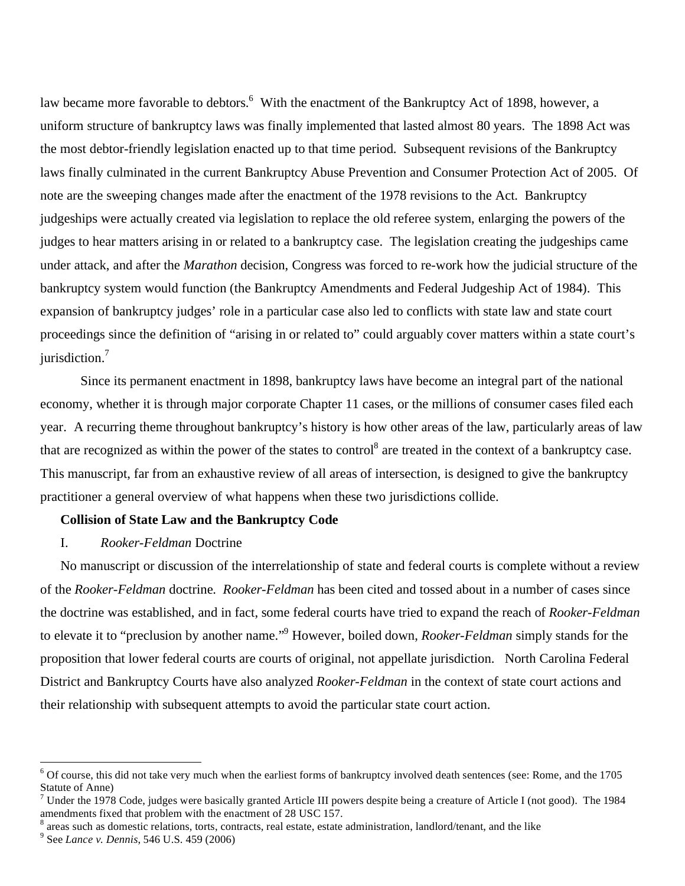law became more favorable to debtors.<sup>6</sup> With the enactment of the Bankruptcy Act of 1898, however, a uniform structure of bankruptcy laws was finally implemented that lasted almost 80 years. The 1898 Act was the most debtor-friendly legislation enacted up to that time period. Subsequent revisions of the Bankruptcy laws finally culminated in the current Bankruptcy Abuse Prevention and Consumer Protection Act of 2005. Of note are the sweeping changes made after the enactment of the 1978 revisions to the Act. Bankruptcy judgeships were actually created via legislation to replace the old referee system, enlarging the powers of the judges to hear matters arising in or related to a bankruptcy case. The legislation creating the judgeships came under attack, and after the *Marathon* decision, Congress was forced to re-work how the judicial structure of the bankruptcy system would function (the Bankruptcy Amendments and Federal Judgeship Act of 1984). This expansion of bankruptcy judges' role in a particular case also led to conflicts with state law and state court proceedings since the definition of "arising in or related to" could arguably cover matters within a state court's jurisdiction.<sup>7</sup>

Since its permanent enactment in 1898, bankruptcy laws have become an integral part of the national economy, whether it is through major corporate Chapter 11 cases, or the millions of consumer cases filed each year. A recurring theme throughout bankruptcy's history is how other areas of the law, particularly areas of law that are recognized as within the power of the states to control<sup>8</sup> are treated in the context of a bankruptcy case. This manuscript, far from an exhaustive review of all areas of intersection, is designed to give the bankruptcy practitioner a general overview of what happens when these two jurisdictions collide.

# **Collision of State Law and the Bankruptcy Code**

# I. *Rooker-Feldman* Doctrine

No manuscript or discussion of the interrelationship of state and federal courts is complete without a review of the *Rooker-Feldman* doctrine. *Rooker-Feldman* has been cited and tossed about in a number of cases since the doctrine was established, and in fact, some federal courts have tried to expand the reach of *Rooker-Feldman* to elevate it to "preclusion by another name."9 However, boiled down, *Rooker-Feldman* simply stands for the proposition that lower federal courts are courts of original, not appellate jurisdiction. North Carolina Federal District and Bankruptcy Courts have also analyzed *Rooker-Feldman* in the context of state court actions and their relationship with subsequent attempts to avoid the particular state court action.

 $\overline{a}$ 

 $6$  Of course, this did not take very much when the earliest forms of bankruptcy involved death sentences (see: Rome, and the 1705 Statute of Anne)

<sup>&</sup>lt;sup>7</sup> Under the 1978 Code, judges were basically granted Article III powers despite being a creature of Article I (not good). The 1984 amendments fixed that problem with the enactment of 28 USC 157.

 $8$  areas such as domestic relations, torts, contracts, real estate, estate administration, landlord/tenant, and the like

<sup>9</sup> See *Lance v. Dennis*, 546 U.S. 459 (2006)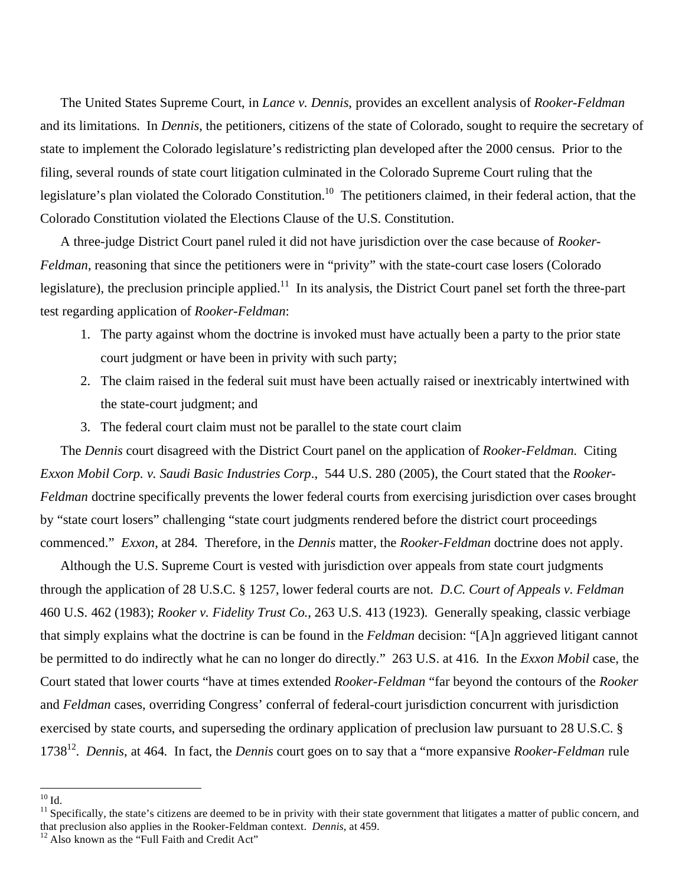The United States Supreme Court, in *Lance v. Dennis*, provides an excellent analysis of *Rooker-Feldman* and its limitations. In *Dennis*, the petitioners, citizens of the state of Colorado, sought to require the secretary of state to implement the Colorado legislature's redistricting plan developed after the 2000 census. Prior to the filing, several rounds of state court litigation culminated in the Colorado Supreme Court ruling that the legislature's plan violated the Colorado Constitution.<sup>10</sup> The petitioners claimed, in their federal action, that the Colorado Constitution violated the Elections Clause of the U.S. Constitution.

A three-judge District Court panel ruled it did not have jurisdiction over the case because of *Rooker-Feldman*, reasoning that since the petitioners were in "privity" with the state-court case losers (Colorado legislature), the preclusion principle applied.<sup>11</sup> In its analysis, the District Court panel set forth the three-part test regarding application of *Rooker-Feldman*:

- 1. The party against whom the doctrine is invoked must have actually been a party to the prior state court judgment or have been in privity with such party;
- 2. The claim raised in the federal suit must have been actually raised or inextricably intertwined with the state-court judgment; and
- 3. The federal court claim must not be parallel to the state court claim

The *Dennis* court disagreed with the District Court panel on the application of *Rooker-Feldman*. Citing *Exxon Mobil Corp. v. Saudi Basic Industries Corp*., 544 U.S. 280 (2005), the Court stated that the *Rooker-Feldman* doctrine specifically prevents the lower federal courts from exercising jurisdiction over cases brought by "state court losers" challenging "state court judgments rendered before the district court proceedings commenced." *Exxon*, at 284. Therefore, in the *Dennis* matter, the *Rooker-Feldman* doctrine does not apply.

Although the U.S. Supreme Court is vested with jurisdiction over appeals from state court judgments through the application of 28 U.S.C. § 1257, lower federal courts are not. *D.C. Court of Appeals v. Feldman* 460 U.S. 462 (1983); *Rooker v. Fidelity Trust Co.*, 263 U.S. 413 (1923). Generally speaking, classic verbiage that simply explains what the doctrine is can be found in the *Feldman* decision: "[A]n aggrieved litigant cannot be permitted to do indirectly what he can no longer do directly." 263 U.S. at 416. In the *Exxon Mobil* case, the Court stated that lower courts "have at times extended *Rooker-Feldman* "far beyond the contours of the *Rooker* and *Feldman* cases, overriding Congress' conferral of federal-court jurisdiction concurrent with jurisdiction exercised by state courts, and superseding the ordinary application of preclusion law pursuant to 28 U.S.C. § 173812. *Dennis*, at 464. In fact, the *Dennis* court goes on to say that a "more expansive *Rooker-Feldman* rule

<u>.</u>

 $^{10}$  Id.

 $<sup>11</sup>$  Specifically, the state's citizens are deemed to be in privity with their state government that litigates a matter of public concern, and</sup> that preclusion also applies in the Rooker-Feldman context. *Dennis*, at 459.<br><sup>12</sup> Also known as the "Full Faith and Credit Act"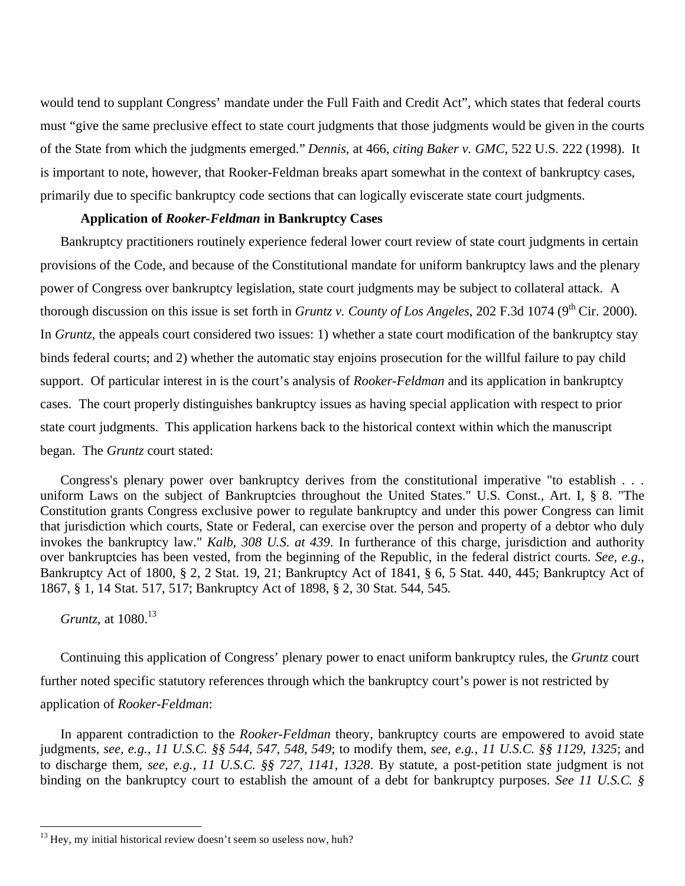would tend to supplant Congress' mandate under the Full Faith and Credit Act", which states that federal courts must "give the same preclusive effect to state court judgments that those judgments would be given in the courts of the State from which the judgments emerged." *Dennis*, at 466, *citing Baker v. GMC*, 522 U.S. 222 (1998). It is important to note, however, that Rooker-Feldman breaks apart somewhat in the context of bankruptcy cases, primarily due to specific bankruptcy code sections that can logically eviscerate state court judgments.

#### **Application of** *Rooker-Feldman* **in Bankruptcy Cases**

Bankruptcy practitioners routinely experience federal lower court review of state court judgments in certain provisions of the Code, and because of the Constitutional mandate for uniform bankruptcy laws and the plenary power of Congress over bankruptcy legislation, state court judgments may be subject to collateral attack. A thorough discussion on this issue is set forth in *Gruntz v. County of Los Angeles*, 202 F.3d 1074 (9<sup>th</sup> Cir. 2000). In *Gruntz*, the appeals court considered two issues: 1) whether a state court modification of the bankruptcy stay binds federal courts; and 2) whether the automatic stay enjoins prosecution for the willful failure to pay child support. Of particular interest in is the court's analysis of *Rooker-Feldman* and its application in bankruptcy cases. The court properly distinguishes bankruptcy issues as having special application with respect to prior state court judgments. This application harkens back to the historical context within which the manuscript began. The *Gruntz* court stated:

Congress's plenary power over bankruptcy derives from the constitutional imperative "to establish . . . uniform Laws on the subject of Bankruptcies throughout the United States." U.S. Const., Art. I, § 8. "The Constitution grants Congress exclusive power to regulate bankruptcy and under this power Congress can limit that jurisdiction which courts, State or Federal, can exercise over the person and property of a debtor who duly invokes the bankruptcy law." *Kalb, 308 U.S. at 439*. In furtherance of this charge, jurisdiction and authority over bankruptcies has been vested, from the beginning of the Republic, in the federal district courts. *See, e.g.*, Bankruptcy Act of 1800, § 2, 2 Stat. 19, 21; Bankruptcy Act of 1841, § 6, 5 Stat. 440, 445; Bankruptcy Act of 1867, § 1, 14 Stat. 517, 517; Bankruptcy Act of 1898, § 2, 30 Stat. 544, 545.

*Gruntz*, at 1080.<sup>13</sup>

1

Continuing this application of Congress' plenary power to enact uniform bankruptcy rules, the *Gruntz* court further noted specific statutory references through which the bankruptcy court's power is not restricted by application of *Rooker-Feldman*:

In apparent contradiction to the *Rooker-Feldman* theory, bankruptcy courts are empowered to avoid state judgments, *see, e.g.*, *11 U.S.C. §§ 544*, *547*, *548*, *549*; to modify them, *see, e.g.*, *11 U.S.C. §§ 1129*, *1325*; and to discharge them, *see, e.g.*, *11 U.S.C. §§ 727*, *1141*, *1328*. By statute, a post-petition state judgment is not binding on the bankruptcy court to establish the amount of a debt for bankruptcy purposes. *See 11 U.S.C. §* 

 $13$  Hey, my initial historical review doesn't seem so useless now, huh?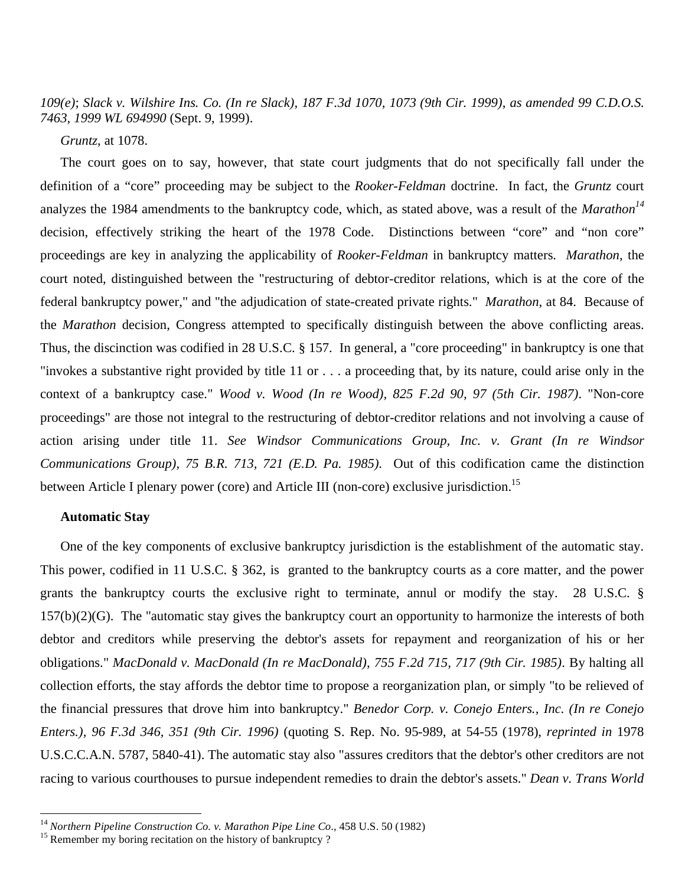*109(e)*; *Slack v. Wilshire Ins. Co. (In re Slack), 187 F.3d 1070, 1073 (9th Cir. 1999)*, *as amended 99 C.D.O.S. 7463, 1999 WL 694990* (Sept. 9, 1999).

*Gruntz*, at 1078.

The court goes on to say, however, that state court judgments that do not specifically fall under the definition of a "core" proceeding may be subject to the *Rooker-Feldman* doctrine. In fact, the *Gruntz* court analyzes the 1984 amendments to the bankruptcy code, which, as stated above, was a result of the *Marathon<sup>14</sup>* decision, effectively striking the heart of the 1978 Code. Distinctions between "core" and "non core" proceedings are key in analyzing the applicability of *Rooker-Feldman* in bankruptcy matters. *Marathon*, the court noted, distinguished between the "restructuring of debtor-creditor relations, which is at the core of the federal bankruptcy power," and "the adjudication of state-created private rights." *Marathon*, at 84. Because of the *Marathon* decision, Congress attempted to specifically distinguish between the above conflicting areas. Thus, the discinction was codified in 28 U.S.C. § 157. In general, a "core proceeding" in bankruptcy is one that "invokes a substantive right provided by title 11 or . . . a proceeding that, by its nature, could arise only in the context of a bankruptcy case." *Wood v. Wood (In re Wood), 825 F.2d 90, 97 (5th Cir. 1987)*. "Non-core proceedings" are those not integral to the restructuring of debtor-creditor relations and not involving a cause of action arising under title 11. *See Windsor Communications Group, Inc. v. Grant (In re Windsor Communications Group), 75 B.R. 713, 721 (E.D. Pa. 1985)*. Out of this codification came the distinction between Article I plenary power (core) and Article III (non-core) exclusive jurisdiction.<sup>15</sup>

# **Automatic Stay**

1

One of the key components of exclusive bankruptcy jurisdiction is the establishment of the automatic stay. This power, codified in 11 U.S.C. § 362, is granted to the bankruptcy courts as a core matter, and the power grants the bankruptcy courts the exclusive right to terminate, annul or modify the stay. 28 U.S.C. § 157(b)(2)(G). The "automatic stay gives the bankruptcy court an opportunity to harmonize the interests of both debtor and creditors while preserving the debtor's assets for repayment and reorganization of his or her obligations." *MacDonald v. MacDonald (In re MacDonald), 755 F.2d 715, 717 (9th Cir. 1985)*. By halting all collection efforts, the stay affords the debtor time to propose a reorganization plan, or simply "to be relieved of the financial pressures that drove him into bankruptcy." *Benedor Corp. v. Conejo Enters., Inc. (In re Conejo Enters.), 96 F.3d 346, 351 (9th Cir. 1996)* (quoting S. Rep. No. 95-989, at 54-55 (1978), *reprinted in* 1978 U.S.C.C.A.N. 5787, 5840-41). The automatic stay also "assures creditors that the debtor's other creditors are not racing to various courthouses to pursue independent remedies to drain the debtor's assets." *Dean v. Trans World* 

<sup>&</sup>lt;sup>14</sup> *Northern Pipeline Construction Co. v. Marathon Pipe Line Co.*, 458 U.S. 50 (1982) <sup>15</sup> Remember my boring recitation on the history of bankruptcy ?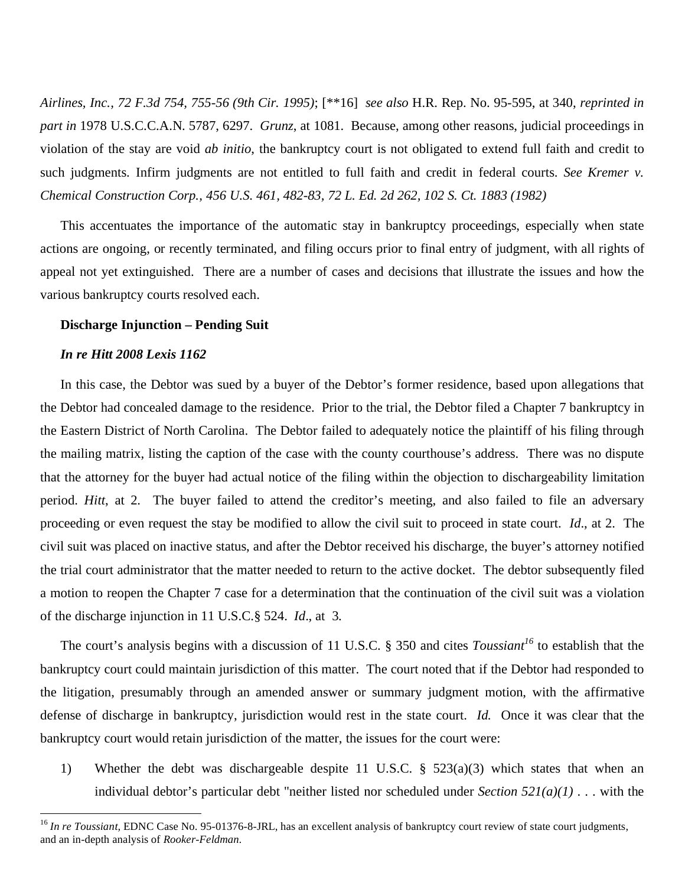*Airlines, Inc., 72 F.3d 754, 755-56 (9th Cir. 1995)*; [\*\*16] *see also* H.R. Rep. No. 95-595, at 340, *reprinted in part in* 1978 U.S.C.C.A.N. 5787, 6297. *Grunz*, at 1081. Because, among other reasons, judicial proceedings in violation of the stay are void *ab initio*, the bankruptcy court is not obligated to extend full faith and credit to such judgments. Infirm judgments are not entitled to full faith and credit in federal courts. *See Kremer v. Chemical Construction Corp., 456 U.S. 461, 482-83, 72 L. Ed. 2d 262, 102 S. Ct. 1883 (1982)* 

This accentuates the importance of the automatic stay in bankruptcy proceedings, especially when state actions are ongoing, or recently terminated, and filing occurs prior to final entry of judgment, with all rights of appeal not yet extinguished. There are a number of cases and decisions that illustrate the issues and how the various bankruptcy courts resolved each.

## **Discharge Injunction – Pending Suit**

#### *In re Hitt 2008 Lexis 1162*

1

In this case, the Debtor was sued by a buyer of the Debtor's former residence, based upon allegations that the Debtor had concealed damage to the residence. Prior to the trial, the Debtor filed a Chapter 7 bankruptcy in the Eastern District of North Carolina. The Debtor failed to adequately notice the plaintiff of his filing through the mailing matrix, listing the caption of the case with the county courthouse's address. There was no dispute that the attorney for the buyer had actual notice of the filing within the objection to dischargeability limitation period. *Hitt*, at 2. The buyer failed to attend the creditor's meeting, and also failed to file an adversary proceeding or even request the stay be modified to allow the civil suit to proceed in state court. *Id*., at 2. The civil suit was placed on inactive status, and after the Debtor received his discharge, the buyer's attorney notified the trial court administrator that the matter needed to return to the active docket. The debtor subsequently filed a motion to reopen the Chapter 7 case for a determination that the continuation of the civil suit was a violation of the discharge injunction in 11 U.S.C.§ 524. *Id*., at 3.

The court's analysis begins with a discussion of 11 U.S.C. § 350 and cites *Toussiant<sup>16</sup>* to establish that the bankruptcy court could maintain jurisdiction of this matter. The court noted that if the Debtor had responded to the litigation, presumably through an amended answer or summary judgment motion, with the affirmative defense of discharge in bankruptcy, jurisdiction would rest in the state court. *Id.* Once it was clear that the bankruptcy court would retain jurisdiction of the matter, the issues for the court were:

1) Whether the debt was dischargeable despite 11 U.S.C. § 523(a)(3) which states that when an individual debtor's particular debt "neither listed nor scheduled under *Section 521(a)(1)* . . . with the

<sup>&</sup>lt;sup>16</sup> *In re Toussiant*, EDNC Case No. 95-01376-8-JRL, has an excellent analysis of bankruptcy court review of state court judgments, and an in-depth analysis of *Rooker-Feldman.*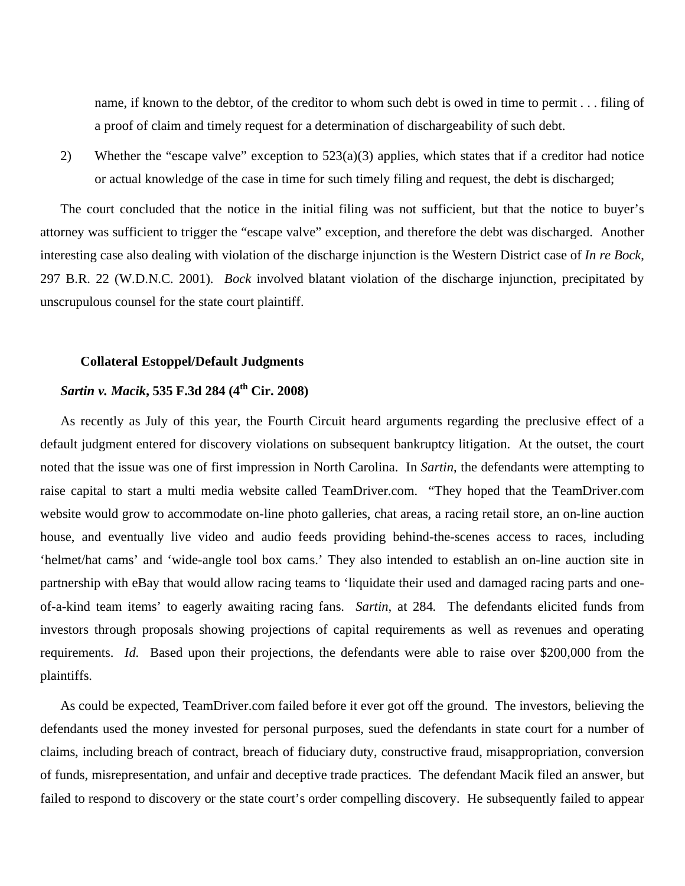name, if known to the debtor, of the creditor to whom such debt is owed in time to permit . . . filing of a proof of claim and timely request for a determination of dischargeability of such debt.

2) Whether the "escape valve" exception to 523(a)(3) applies, which states that if a creditor had notice or actual knowledge of the case in time for such timely filing and request, the debt is discharged;

The court concluded that the notice in the initial filing was not sufficient, but that the notice to buyer's attorney was sufficient to trigger the "escape valve" exception, and therefore the debt was discharged. Another interesting case also dealing with violation of the discharge injunction is the Western District case of *In re Bock*, 297 B.R. 22 (W.D.N.C. 2001). *Bock* involved blatant violation of the discharge injunction, precipitated by unscrupulous counsel for the state court plaintiff.

# **Collateral Estoppel/Default Judgments**

# *Sartin v. Macik***, 535 F.3d 284 (4th Cir. 2008)**

As recently as July of this year, the Fourth Circuit heard arguments regarding the preclusive effect of a default judgment entered for discovery violations on subsequent bankruptcy litigation. At the outset, the court noted that the issue was one of first impression in North Carolina. In *Sartin*, the defendants were attempting to raise capital to start a multi media website called TeamDriver.com. "They hoped that the TeamDriver.com website would grow to accommodate on-line photo galleries, chat areas, a racing retail store, an on-line auction house, and eventually live video and audio feeds providing behind-the-scenes access to races, including 'helmet/hat cams' and 'wide-angle tool box cams.' They also intended to establish an on-line auction site in partnership with eBay that would allow racing teams to 'liquidate their used and damaged racing parts and oneof-a-kind team items' to eagerly awaiting racing fans. *Sartin*, at 284. The defendants elicited funds from investors through proposals showing projections of capital requirements as well as revenues and operating requirements. *Id.* Based upon their projections, the defendants were able to raise over \$200,000 from the plaintiffs.

As could be expected, TeamDriver.com failed before it ever got off the ground. The investors, believing the defendants used the money invested for personal purposes, sued the defendants in state court for a number of claims, including breach of contract, breach of fiduciary duty, constructive fraud, misappropriation, conversion of funds, misrepresentation, and unfair and deceptive trade practices. The defendant Macik filed an answer, but failed to respond to discovery or the state court's order compelling discovery. He subsequently failed to appear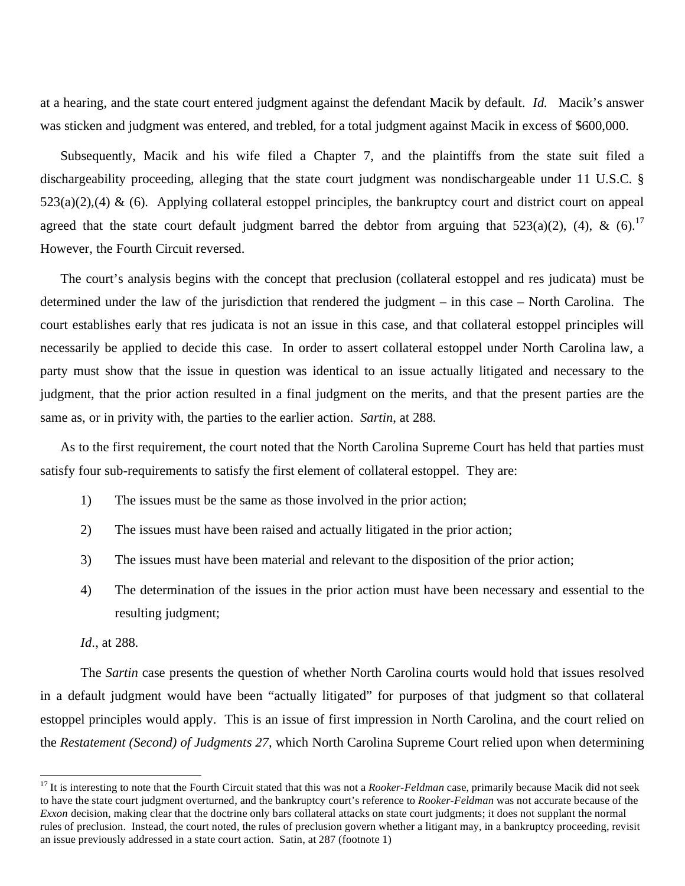at a hearing, and the state court entered judgment against the defendant Macik by default. *Id.* Macik's answer was sticken and judgment was entered, and trebled, for a total judgment against Macik in excess of \$600,000.

Subsequently, Macik and his wife filed a Chapter 7, and the plaintiffs from the state suit filed a dischargeability proceeding, alleging that the state court judgment was nondischargeable under 11 U.S.C. §  $523(a)(2),(4)$  & (6). Applying collateral estoppel principles, the bankruptcy court and district court on appeal agreed that the state court default judgment barred the debtor from arguing that  $523(a)(2)$ , (4), & (6).<sup>17</sup> However, the Fourth Circuit reversed.

The court's analysis begins with the concept that preclusion (collateral estoppel and res judicata) must be determined under the law of the jurisdiction that rendered the judgment – in this case – North Carolina. The court establishes early that res judicata is not an issue in this case, and that collateral estoppel principles will necessarily be applied to decide this case. In order to assert collateral estoppel under North Carolina law, a party must show that the issue in question was identical to an issue actually litigated and necessary to the judgment, that the prior action resulted in a final judgment on the merits, and that the present parties are the same as, or in privity with, the parties to the earlier action. *Sartin*, at 288.

As to the first requirement, the court noted that the North Carolina Supreme Court has held that parties must satisfy four sub-requirements to satisfy the first element of collateral estoppel. They are:

- 1) The issues must be the same as those involved in the prior action;
- 2) The issues must have been raised and actually litigated in the prior action;
- 3) The issues must have been material and relevant to the disposition of the prior action;
- 4) The determination of the issues in the prior action must have been necessary and essential to the resulting judgment;

*Id*., at 288.

 $\overline{a}$ 

The *Sartin* case presents the question of whether North Carolina courts would hold that issues resolved in a default judgment would have been "actually litigated" for purposes of that judgment so that collateral estoppel principles would apply. This is an issue of first impression in North Carolina, and the court relied on the *Restatement (Second) of Judgments 27*, which North Carolina Supreme Court relied upon when determining

<sup>&</sup>lt;sup>17</sup> It is interesting to note that the Fourth Circuit stated that this was not a *Rooker-Feldman* case, primarily because Macik did not seek to have the state court judgment overturned, and the bankruptcy court's reference to *Rooker-Feldman* was not accurate because of the *Exxon* decision, making clear that the doctrine only bars collateral attacks on state court judgments; it does not supplant the normal rules of preclusion. Instead, the court noted, the rules of preclusion govern whether a litigant may, in a bankruptcy proceeding, revisit an issue previously addressed in a state court action. Satin, at 287 (footnote 1)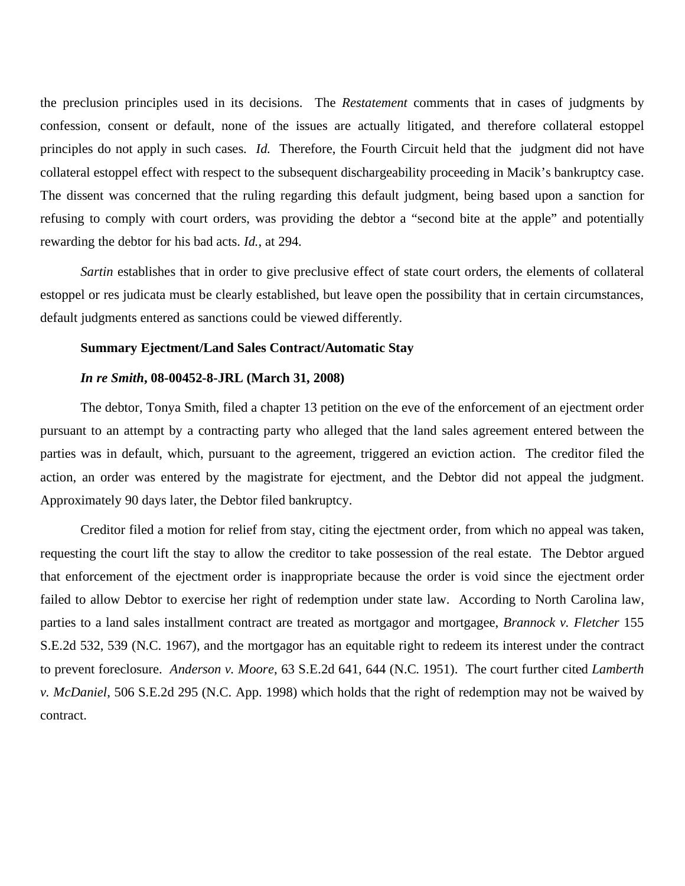the preclusion principles used in its decisions. The *Restatement* comments that in cases of judgments by confession, consent or default, none of the issues are actually litigated, and therefore collateral estoppel principles do not apply in such cases. *Id.* Therefore, the Fourth Circuit held that the judgment did not have collateral estoppel effect with respect to the subsequent dischargeability proceeding in Macik's bankruptcy case. The dissent was concerned that the ruling regarding this default judgment, being based upon a sanction for refusing to comply with court orders, was providing the debtor a "second bite at the apple" and potentially rewarding the debtor for his bad acts. *Id.*, at 294.

*Sartin* establishes that in order to give preclusive effect of state court orders, the elements of collateral estoppel or res judicata must be clearly established, but leave open the possibility that in certain circumstances, default judgments entered as sanctions could be viewed differently.

#### **Summary Ejectment/Land Sales Contract/Automatic Stay**

#### *In re Smith***, 08-00452-8-JRL (March 31, 2008)**

The debtor, Tonya Smith, filed a chapter 13 petition on the eve of the enforcement of an ejectment order pursuant to an attempt by a contracting party who alleged that the land sales agreement entered between the parties was in default, which, pursuant to the agreement, triggered an eviction action. The creditor filed the action, an order was entered by the magistrate for ejectment, and the Debtor did not appeal the judgment. Approximately 90 days later, the Debtor filed bankruptcy.

Creditor filed a motion for relief from stay, citing the ejectment order, from which no appeal was taken, requesting the court lift the stay to allow the creditor to take possession of the real estate. The Debtor argued that enforcement of the ejectment order is inappropriate because the order is void since the ejectment order failed to allow Debtor to exercise her right of redemption under state law. According to North Carolina law, parties to a land sales installment contract are treated as mortgagor and mortgagee, *Brannock v. Fletcher* 155 S.E.2d 532, 539 (N.C. 1967), and the mortgagor has an equitable right to redeem its interest under the contract to prevent foreclosure. *Anderson v. Moore*, 63 S.E.2d 641, 644 (N.C. 1951). The court further cited *Lamberth v. McDaniel*, 506 S.E.2d 295 (N.C. App. 1998) which holds that the right of redemption may not be waived by contract.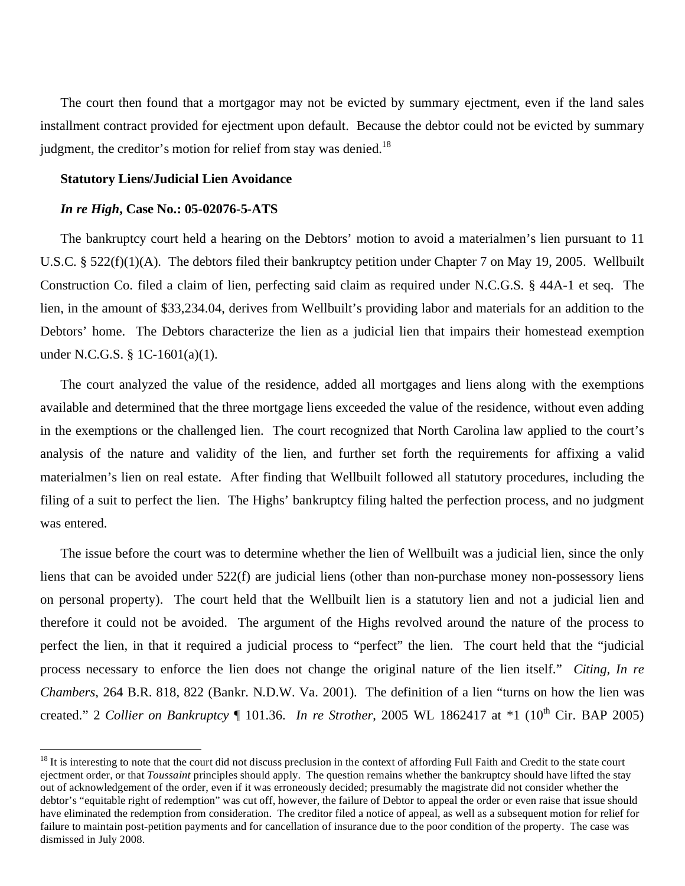The court then found that a mortgagor may not be evicted by summary ejectment, even if the land sales installment contract provided for ejectment upon default. Because the debtor could not be evicted by summary judgment, the creditor's motion for relief from stay was denied.<sup>18</sup>

# **Statutory Liens/Judicial Lien Avoidance**

#### *In re High***, Case No.: 05-02076-5-ATS**

 $\overline{a}$ 

The bankruptcy court held a hearing on the Debtors' motion to avoid a materialmen's lien pursuant to 11 U.S.C. § 522(f)(1)(A). The debtors filed their bankruptcy petition under Chapter 7 on May 19, 2005. Wellbuilt Construction Co. filed a claim of lien, perfecting said claim as required under N.C.G.S. § 44A-1 et seq. The lien, in the amount of \$33,234.04, derives from Wellbuilt's providing labor and materials for an addition to the Debtors' home. The Debtors characterize the lien as a judicial lien that impairs their homestead exemption under N.C.G.S. § 1C-1601(a)(1).

The court analyzed the value of the residence, added all mortgages and liens along with the exemptions available and determined that the three mortgage liens exceeded the value of the residence, without even adding in the exemptions or the challenged lien. The court recognized that North Carolina law applied to the court's analysis of the nature and validity of the lien, and further set forth the requirements for affixing a valid materialmen's lien on real estate. After finding that Wellbuilt followed all statutory procedures, including the filing of a suit to perfect the lien. The Highs' bankruptcy filing halted the perfection process, and no judgment was entered.

The issue before the court was to determine whether the lien of Wellbuilt was a judicial lien, since the only liens that can be avoided under 522(f) are judicial liens (other than non-purchase money non-possessory liens on personal property). The court held that the Wellbuilt lien is a statutory lien and not a judicial lien and therefore it could not be avoided. The argument of the Highs revolved around the nature of the process to perfect the lien, in that it required a judicial process to "perfect" the lien. The court held that the "judicial process necessary to enforce the lien does not change the original nature of the lien itself." *Citing, In re Chambers*, 264 B.R. 818, 822 (Bankr. N.D.W. Va. 2001). The definition of a lien "turns on how the lien was created." 2 *Collier on Bankruptcy* ¶ 101.36. *In re Strother*, 2005 WL 1862417 at \*1 (10<sup>th</sup> Cir. BAP 2005)

 $18$  It is interesting to note that the court did not discuss preclusion in the context of affording Full Faith and Credit to the state court ejectment order, or that *Toussaint* principles should apply. The question remains whether the bankruptcy should have lifted the stay out of acknowledgement of the order, even if it was erroneously decided; presumably the magistrate did not consider whether the debtor's "equitable right of redemption" was cut off, however, the failure of Debtor to appeal the order or even raise that issue should have eliminated the redemption from consideration. The creditor filed a notice of appeal, as well as a subsequent motion for relief for failure to maintain post-petition payments and for cancellation of insurance due to the poor condition of the property. The case was dismissed in July 2008.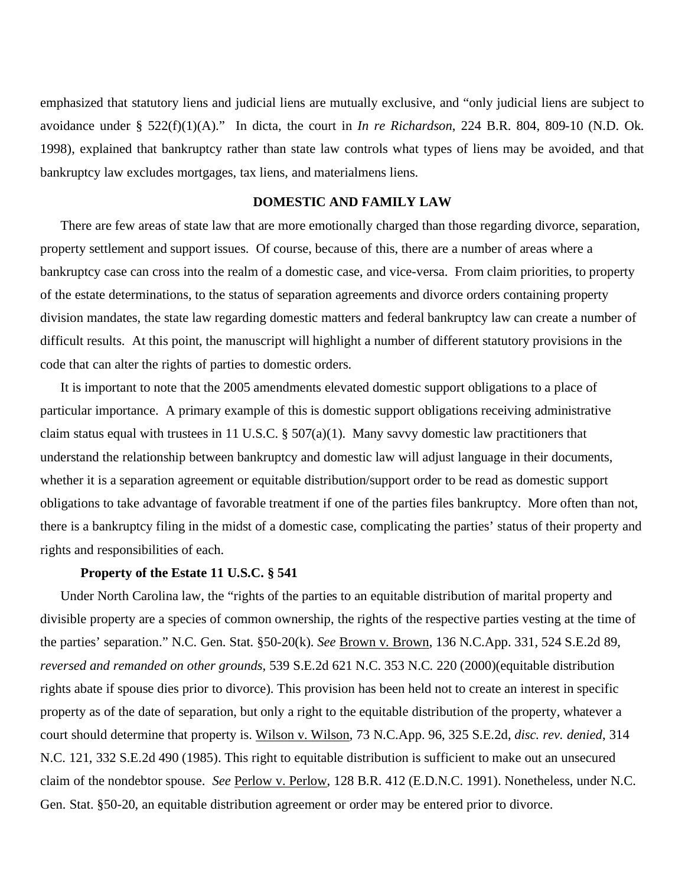emphasized that statutory liens and judicial liens are mutually exclusive, and "only judicial liens are subject to avoidance under § 522(f)(1)(A)." In dicta, the court in *In re Richardson*, 224 B.R. 804, 809-10 (N.D. Ok. 1998), explained that bankruptcy rather than state law controls what types of liens may be avoided, and that bankruptcy law excludes mortgages, tax liens, and materialmens liens.

# **DOMESTIC AND FAMILY LAW**

There are few areas of state law that are more emotionally charged than those regarding divorce, separation, property settlement and support issues. Of course, because of this, there are a number of areas where a bankruptcy case can cross into the realm of a domestic case, and vice-versa. From claim priorities, to property of the estate determinations, to the status of separation agreements and divorce orders containing property division mandates, the state law regarding domestic matters and federal bankruptcy law can create a number of difficult results. At this point, the manuscript will highlight a number of different statutory provisions in the code that can alter the rights of parties to domestic orders.

It is important to note that the 2005 amendments elevated domestic support obligations to a place of particular importance. A primary example of this is domestic support obligations receiving administrative claim status equal with trustees in 11 U.S.C.  $\S 507(a)(1)$ . Many savvy domestic law practitioners that understand the relationship between bankruptcy and domestic law will adjust language in their documents, whether it is a separation agreement or equitable distribution/support order to be read as domestic support obligations to take advantage of favorable treatment if one of the parties files bankruptcy. More often than not, there is a bankruptcy filing in the midst of a domestic case, complicating the parties' status of their property and rights and responsibilities of each.

# **Property of the Estate 11 U.S.C. § 541**

Under North Carolina law, the "rights of the parties to an equitable distribution of marital property and divisible property are a species of common ownership, the rights of the respective parties vesting at the time of the parties' separation." N.C. Gen. Stat. §50-20(k). *See* Brown v. Brown, 136 N.C.App. 331, 524 S.E.2d 89, *reversed and remanded on other grounds*, 539 S.E.2d 621 N.C. 353 N.C. 220 (2000)(equitable distribution rights abate if spouse dies prior to divorce). This provision has been held not to create an interest in specific property as of the date of separation, but only a right to the equitable distribution of the property, whatever a court should determine that property is. Wilson v. Wilson, 73 N.C.App. 96, 325 S.E.2d, *disc. rev. denied*, 314 N.C. 121, 332 S.E.2d 490 (1985). This right to equitable distribution is sufficient to make out an unsecured claim of the nondebtor spouse. *See* Perlow v. Perlow, 128 B.R. 412 (E.D.N.C. 1991). Nonetheless, under N.C. Gen. Stat. §50-20, an equitable distribution agreement or order may be entered prior to divorce.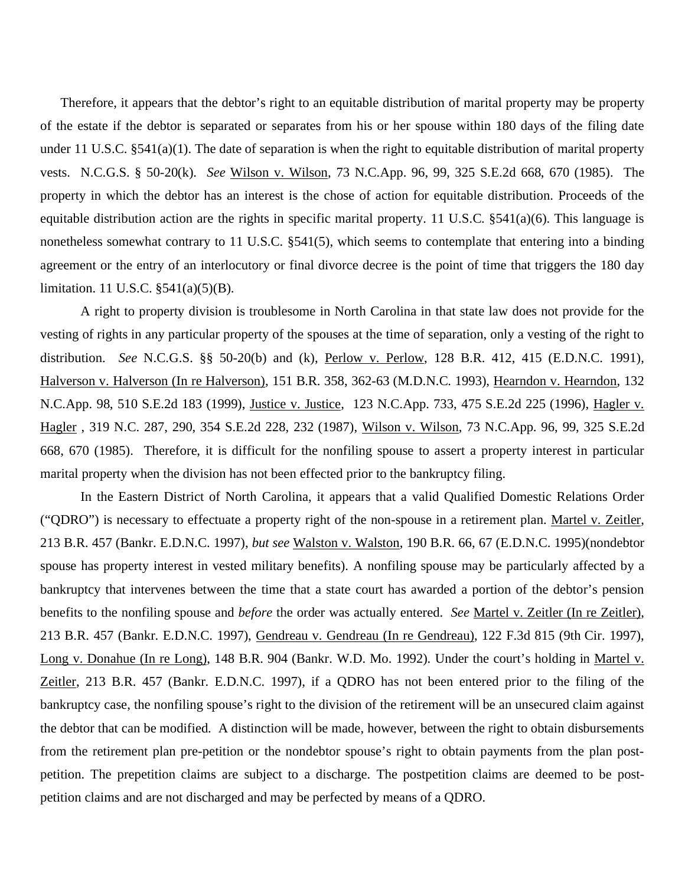Therefore, it appears that the debtor's right to an equitable distribution of marital property may be property of the estate if the debtor is separated or separates from his or her spouse within 180 days of the filing date under 11 U.S.C. §541(a)(1). The date of separation is when the right to equitable distribution of marital property vests. N.C.G.S. § 50-20(k). *See* Wilson v. Wilson, 73 N.C.App. 96, 99, 325 S.E.2d 668, 670 (1985). The property in which the debtor has an interest is the chose of action for equitable distribution. Proceeds of the equitable distribution action are the rights in specific marital property. 11 U.S.C.  $\S 541(a)(6)$ . This language is nonetheless somewhat contrary to 11 U.S.C. §541(5), which seems to contemplate that entering into a binding agreement or the entry of an interlocutory or final divorce decree is the point of time that triggers the 180 day limitation. 11 U.S.C. §541(a)(5)(B).

 A right to property division is troublesome in North Carolina in that state law does not provide for the vesting of rights in any particular property of the spouses at the time of separation, only a vesting of the right to distribution. *See* N.C.G.S. §§ 50-20(b) and (k), Perlow v. Perlow, 128 B.R. 412, 415 (E.D.N.C. 1991), Halverson v. Halverson (In re Halverson), 151 B.R. 358, 362-63 (M.D.N.C. 1993), Hearndon v. Hearndon, 132 N.C.App. 98, 510 S.E.2d 183 (1999), Justice v. Justice, 123 N.C.App. 733, 475 S.E.2d 225 (1996), Hagler v. Hagler , 319 N.C. 287, 290, 354 S.E.2d 228, 232 (1987), Wilson v. Wilson, 73 N.C.App. 96, 99, 325 S.E.2d 668, 670 (1985). Therefore, it is difficult for the nonfiling spouse to assert a property interest in particular marital property when the division has not been effected prior to the bankruptcy filing.

 In the Eastern District of North Carolina, it appears that a valid Qualified Domestic Relations Order ("QDRO") is necessary to effectuate a property right of the non-spouse in a retirement plan. Martel v. Zeitler, 213 B.R. 457 (Bankr. E.D.N.C. 1997), *but see* Walston v. Walston, 190 B.R. 66, 67 (E.D.N.C. 1995)(nondebtor spouse has property interest in vested military benefits). A nonfiling spouse may be particularly affected by a bankruptcy that intervenes between the time that a state court has awarded a portion of the debtor's pension benefits to the nonfiling spouse and *before* the order was actually entered. *See* Martel v. Zeitler (In re Zeitler), 213 B.R. 457 (Bankr. E.D.N.C. 1997), Gendreau v. Gendreau (In re Gendreau), 122 F.3d 815 (9th Cir. 1997), Long v. Donahue (In re Long), 148 B.R. 904 (Bankr. W.D. Mo. 1992). Under the court's holding in Martel v. Zeitler, 213 B.R. 457 (Bankr. E.D.N.C. 1997), if a QDRO has not been entered prior to the filing of the bankruptcy case, the nonfiling spouse's right to the division of the retirement will be an unsecured claim against the debtor that can be modified. A distinction will be made, however, between the right to obtain disbursements from the retirement plan pre-petition or the nondebtor spouse's right to obtain payments from the plan postpetition. The prepetition claims are subject to a discharge. The postpetition claims are deemed to be postpetition claims and are not discharged and may be perfected by means of a QDRO.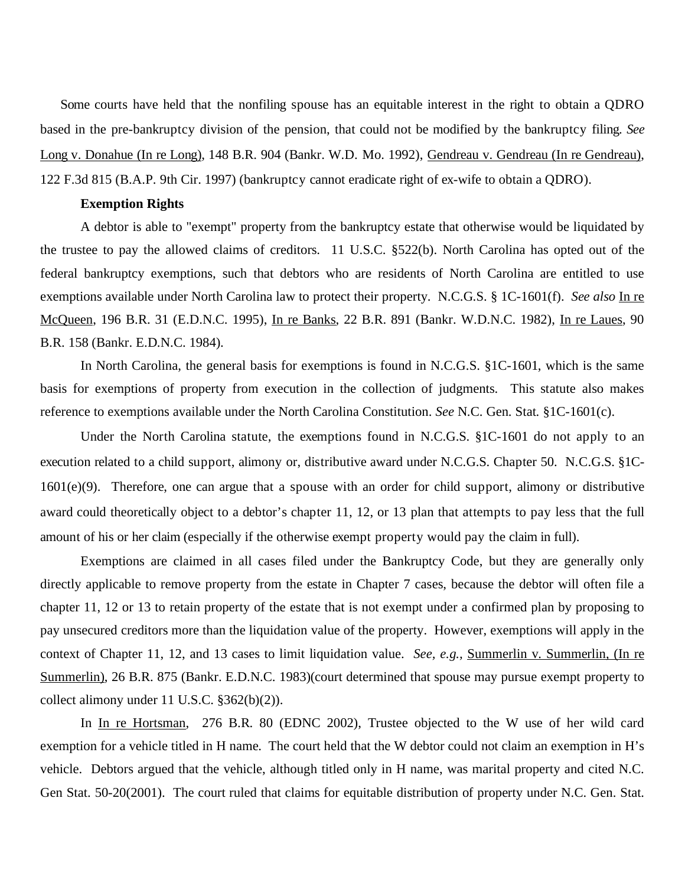Some courts have held that the nonfiling spouse has an equitable interest in the right to obtain a QDRO based in the pre-bankruptcy division of the pension, that could not be modified by the bankruptcy filing. *See* Long v. Donahue (In re Long), 148 B.R. 904 (Bankr. W.D. Mo. 1992), Gendreau v. Gendreau (In re Gendreau), 122 F.3d 815 (B.A.P. 9th Cir. 1997) (bankruptcy cannot eradicate right of ex-wife to obtain a QDRO).

# **Exemption Rights**

A debtor is able to "exempt" property from the bankruptcy estate that otherwise would be liquidated by the trustee to pay the allowed claims of creditors. 11 U.S.C. §522(b). North Carolina has opted out of the federal bankruptcy exemptions, such that debtors who are residents of North Carolina are entitled to use exemptions available under North Carolina law to protect their property. N.C.G.S. § 1C-1601(f). *See also* In re McQueen, 196 B.R. 31 (E.D.N.C. 1995), In re Banks, 22 B.R. 891 (Bankr. W.D.N.C. 1982), In re Laues, 90 B.R. 158 (Bankr. E.D.N.C. 1984).

In North Carolina, the general basis for exemptions is found in N.C.G.S. §1C-1601, which is the same basis for exemptions of property from execution in the collection of judgments. This statute also makes reference to exemptions available under the North Carolina Constitution. *See* N.C. Gen. Stat. §1C-1601(c).

Under the North Carolina statute, the exemptions found in N.C.G.S. §1C-1601 do not apply to an execution related to a child support, alimony or, distributive award under N.C.G.S. Chapter 50. N.C.G.S. §1C-1601(e)(9). Therefore, one can argue that a spouse with an order for child support, alimony or distributive award could theoretically object to a debtor's chapter 11, 12, or 13 plan that attempts to pay less that the full amount of his or her claim (especially if the otherwise exempt property would pay the claim in full).

 Exemptions are claimed in all cases filed under the Bankruptcy Code, but they are generally only directly applicable to remove property from the estate in Chapter 7 cases, because the debtor will often file a chapter 11, 12 or 13 to retain property of the estate that is not exempt under a confirmed plan by proposing to pay unsecured creditors more than the liquidation value of the property. However, exemptions will apply in the context of Chapter 11, 12, and 13 cases to limit liquidation value. *See, e.g.,* Summerlin v. Summerlin, (In re Summerlin), 26 B.R. 875 (Bankr. E.D.N.C. 1983)(court determined that spouse may pursue exempt property to collect alimony under 11 U.S.C. §362(b)(2)).

In In re Hortsman, 276 B.R. 80 (EDNC 2002), Trustee objected to the W use of her wild card exemption for a vehicle titled in H name. The court held that the W debtor could not claim an exemption in H's vehicle. Debtors argued that the vehicle, although titled only in H name, was marital property and cited N.C. Gen Stat. 50-20(2001). The court ruled that claims for equitable distribution of property under N.C. Gen. Stat.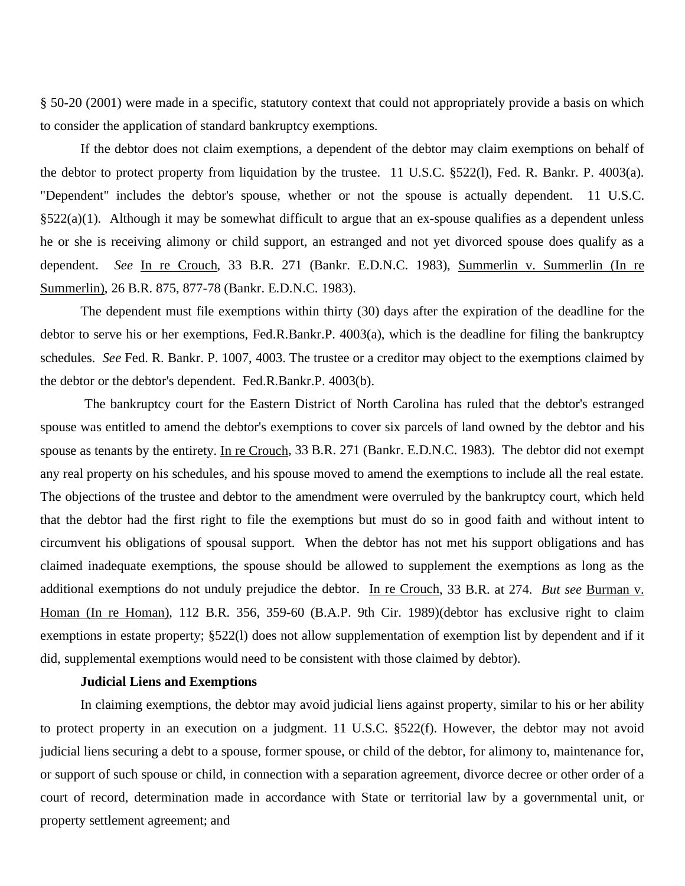§ 50-20 (2001) were made in a specific, statutory context that could not appropriately provide a basis on which to consider the application of standard bankruptcy exemptions.

If the debtor does not claim exemptions, a dependent of the debtor may claim exemptions on behalf of the debtor to protect property from liquidation by the trustee. 11 U.S.C. §522(l), Fed. R. Bankr. P. 4003(a). "Dependent" includes the debtor's spouse, whether or not the spouse is actually dependent. 11 U.S.C.  $\S522(a)(1)$ . Although it may be somewhat difficult to argue that an ex-spouse qualifies as a dependent unless he or she is receiving alimony or child support, an estranged and not yet divorced spouse does qualify as a dependent. *See* In re Crouch, 33 B.R. 271 (Bankr. E.D.N.C. 1983), Summerlin v. Summerlin (In re Summerlin), 26 B.R. 875, 877-78 (Bankr. E.D.N.C. 1983).

The dependent must file exemptions within thirty (30) days after the expiration of the deadline for the debtor to serve his or her exemptions, Fed.R.Bankr.P. 4003(a), which is the deadline for filing the bankruptcy schedules. *See* Fed. R. Bankr. P. 1007, 4003. The trustee or a creditor may object to the exemptions claimed by the debtor or the debtor's dependent. Fed.R.Bankr.P. 4003(b).

 The bankruptcy court for the Eastern District of North Carolina has ruled that the debtor's estranged spouse was entitled to amend the debtor's exemptions to cover six parcels of land owned by the debtor and his spouse as tenants by the entirety. In re Crouch, 33 B.R. 271 (Bankr. E.D.N.C. 1983). The debtor did not exempt any real property on his schedules, and his spouse moved to amend the exemptions to include all the real estate. The objections of the trustee and debtor to the amendment were overruled by the bankruptcy court, which held that the debtor had the first right to file the exemptions but must do so in good faith and without intent to circumvent his obligations of spousal support. When the debtor has not met his support obligations and has claimed inadequate exemptions, the spouse should be allowed to supplement the exemptions as long as the additional exemptions do not unduly prejudice the debtor. In re Crouch, 33 B.R. at 274. *But see* Burman v. Homan (In re Homan), 112 B.R. 356, 359-60 (B.A.P. 9th Cir. 1989)(debtor has exclusive right to claim exemptions in estate property; §522(l) does not allow supplementation of exemption list by dependent and if it did, supplemental exemptions would need to be consistent with those claimed by debtor).

# **Judicial Liens and Exemptions**

In claiming exemptions, the debtor may avoid judicial liens against property, similar to his or her ability to protect property in an execution on a judgment. 11 U.S.C. §522(f). However, the debtor may not avoid judicial liens securing a debt to a spouse, former spouse, or child of the debtor, for alimony to, maintenance for, or support of such spouse or child, in connection with a separation agreement, divorce decree or other order of a court of record, determination made in accordance with State or territorial law by a governmental unit, or property settlement agreement; and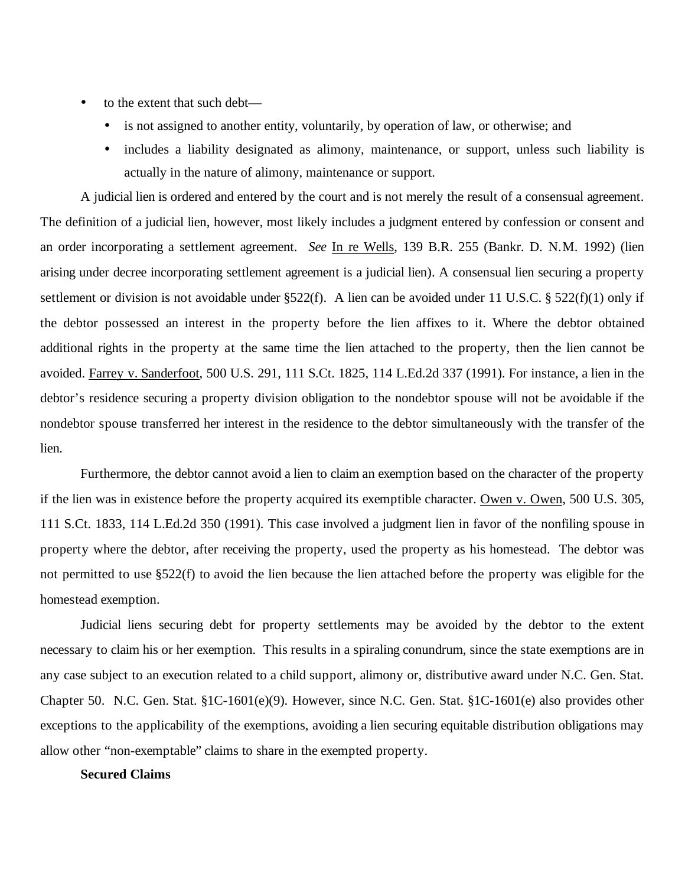- to the extent that such debt—
	- is not assigned to another entity, voluntarily, by operation of law, or otherwise; and
	- includes a liability designated as alimony, maintenance, or support, unless such liability is actually in the nature of alimony, maintenance or support.

 A judicial lien is ordered and entered by the court and is not merely the result of a consensual agreement. The definition of a judicial lien, however, most likely includes a judgment entered by confession or consent and an order incorporating a settlement agreement. *See* In re Wells, 139 B.R. 255 (Bankr. D. N.M. 1992) (lien arising under decree incorporating settlement agreement is a judicial lien). A consensual lien securing a property settlement or division is not avoidable under  $\S522(f)$ . A lien can be avoided under 11 U.S.C. § 522(f)(1) only if the debtor possessed an interest in the property before the lien affixes to it. Where the debtor obtained additional rights in the property at the same time the lien attached to the property, then the lien cannot be avoided. Farrey v. Sanderfoot, 500 U.S. 291, 111 S.Ct. 1825, 114 L.Ed.2d 337 (1991). For instance, a lien in the debtor's residence securing a property division obligation to the nondebtor spouse will not be avoidable if the nondebtor spouse transferred her interest in the residence to the debtor simultaneously with the transfer of the lien.

 Furthermore, the debtor cannot avoid a lien to claim an exemption based on the character of the property if the lien was in existence before the property acquired its exemptible character. Owen v. Owen, 500 U.S. 305, 111 S.Ct. 1833, 114 L.Ed.2d 350 (1991). This case involved a judgment lien in favor of the nonfiling spouse in property where the debtor, after receiving the property, used the property as his homestead. The debtor was not permitted to use §522(f) to avoid the lien because the lien attached before the property was eligible for the homestead exemption.

Judicial liens securing debt for property settlements may be avoided by the debtor to the extent necessary to claim his or her exemption. This results in a spiraling conundrum, since the state exemptions are in any case subject to an execution related to a child support, alimony or, distributive award under N.C. Gen. Stat. Chapter 50. N.C. Gen. Stat. §1C-1601(e)(9). However, since N.C. Gen. Stat. §1C-1601(e) also provides other exceptions to the applicability of the exemptions, avoiding a lien securing equitable distribution obligations may allow other "non-exemptable" claims to share in the exempted property.

# **Secured Claims**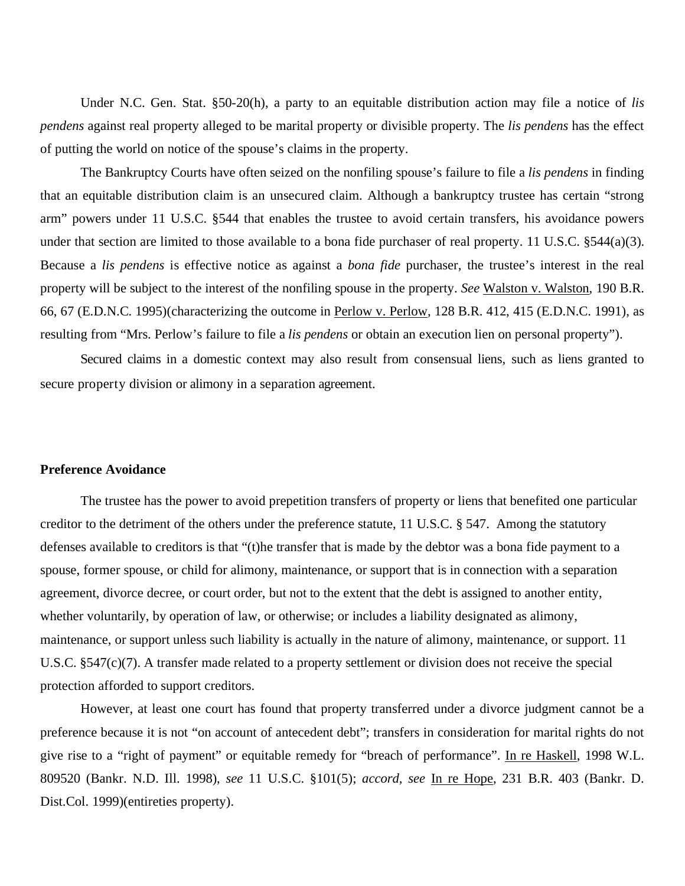Under N.C. Gen. Stat. §50-20(h), a party to an equitable distribution action may file a notice of *lis pendens* against real property alleged to be marital property or divisible property. The *lis pendens* has the effect of putting the world on notice of the spouse's claims in the property.

The Bankruptcy Courts have often seized on the nonfiling spouse's failure to file a *lis pendens* in finding that an equitable distribution claim is an unsecured claim. Although a bankruptcy trustee has certain "strong arm" powers under 11 U.S.C. §544 that enables the trustee to avoid certain transfers, his avoidance powers under that section are limited to those available to a bona fide purchaser of real property. 11 U.S.C.  $\S 544(a)(3)$ . Because a *lis pendens* is effective notice as against a *bona fide* purchaser, the trustee's interest in the real property will be subject to the interest of the nonfiling spouse in the property. *See* Walston v. Walston, 190 B.R. 66, 67 (E.D.N.C. 1995)(characterizing the outcome in Perlow v. Perlow, 128 B.R. 412, 415 (E.D.N.C. 1991), as resulting from "Mrs. Perlow's failure to file a *lis pendens* or obtain an execution lien on personal property").

Secured claims in a domestic context may also result from consensual liens, such as liens granted to secure property division or alimony in a separation agreement.

#### **Preference Avoidance**

The trustee has the power to avoid prepetition transfers of property or liens that benefited one particular creditor to the detriment of the others under the preference statute, 11 U.S.C. § 547. Among the statutory defenses available to creditors is that "(t)he transfer that is made by the debtor was a bona fide payment to a spouse, former spouse, or child for alimony, maintenance, or support that is in connection with a separation agreement, divorce decree, or court order, but not to the extent that the debt is assigned to another entity, whether voluntarily, by operation of law, or otherwise; or includes a liability designated as alimony, maintenance, or support unless such liability is actually in the nature of alimony, maintenance, or support. 11 U.S.C. §547(c)(7). A transfer made related to a property settlement or division does not receive the special protection afforded to support creditors.

However, at least one court has found that property transferred under a divorce judgment cannot be a preference because it is not "on account of antecedent debt"; transfers in consideration for marital rights do not give rise to a "right of payment" or equitable remedy for "breach of performance". In re Haskell, 1998 W.L. 809520 (Bankr. N.D. Ill. 1998), *see* 11 U.S.C. §101(5); *accord, see* In re Hope, 231 B.R. 403 (Bankr. D. Dist.Col. 1999)(entireties property).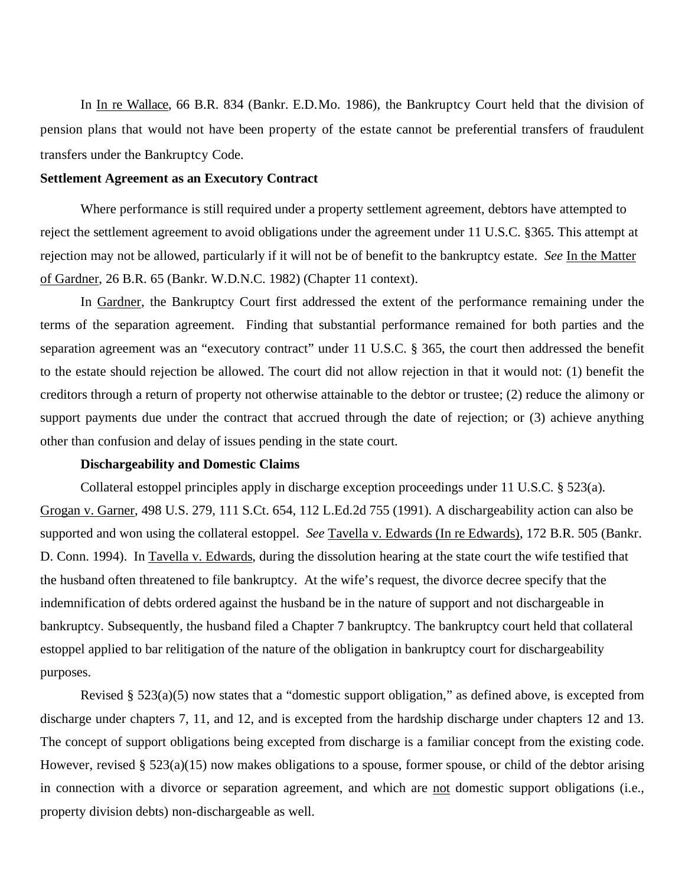In In re Wallace, 66 B.R. 834 (Bankr. E.D.Mo. 1986), the Bankruptcy Court held that the division of pension plans that would not have been property of the estate cannot be preferential transfers of fraudulent transfers under the Bankruptcy Code.

# **Settlement Agreement as an Executory Contract**

Where performance is still required under a property settlement agreement, debtors have attempted to reject the settlement agreement to avoid obligations under the agreement under 11 U.S.C. §365. This attempt at rejection may not be allowed, particularly if it will not be of benefit to the bankruptcy estate. *See* In the Matter of Gardner, 26 B.R. 65 (Bankr. W.D.N.C. 1982) (Chapter 11 context).

 In Gardner, the Bankruptcy Court first addressed the extent of the performance remaining under the terms of the separation agreement. Finding that substantial performance remained for both parties and the separation agreement was an "executory contract" under 11 U.S.C. § 365, the court then addressed the benefit to the estate should rejection be allowed. The court did not allow rejection in that it would not: (1) benefit the creditors through a return of property not otherwise attainable to the debtor or trustee; (2) reduce the alimony or support payments due under the contract that accrued through the date of rejection; or (3) achieve anything other than confusion and delay of issues pending in the state court.

# **Dischargeability and Domestic Claims**

Collateral estoppel principles apply in discharge exception proceedings under 11 U.S.C. § 523(a). Grogan v. Garner, 498 U.S. 279, 111 S.Ct. 654, 112 L.Ed.2d 755 (1991). A dischargeability action can also be supported and won using the collateral estoppel. *See* Tavella v. Edwards (In re Edwards), 172 B.R. 505 (Bankr. D. Conn. 1994). In Tavella v. Edwards, during the dissolution hearing at the state court the wife testified that the husband often threatened to file bankruptcy. At the wife's request, the divorce decree specify that the indemnification of debts ordered against the husband be in the nature of support and not dischargeable in bankruptcy. Subsequently, the husband filed a Chapter 7 bankruptcy. The bankruptcy court held that collateral estoppel applied to bar relitigation of the nature of the obligation in bankruptcy court for dischargeability purposes.

Revised § 523(a)(5) now states that a "domestic support obligation," as defined above, is excepted from discharge under chapters 7, 11, and 12, and is excepted from the hardship discharge under chapters 12 and 13. The concept of support obligations being excepted from discharge is a familiar concept from the existing code. However, revised §  $523(a)(15)$  now makes obligations to a spouse, former spouse, or child of the debtor arising in connection with a divorce or separation agreement, and which are not domestic support obligations (i.e., property division debts) non-dischargeable as well.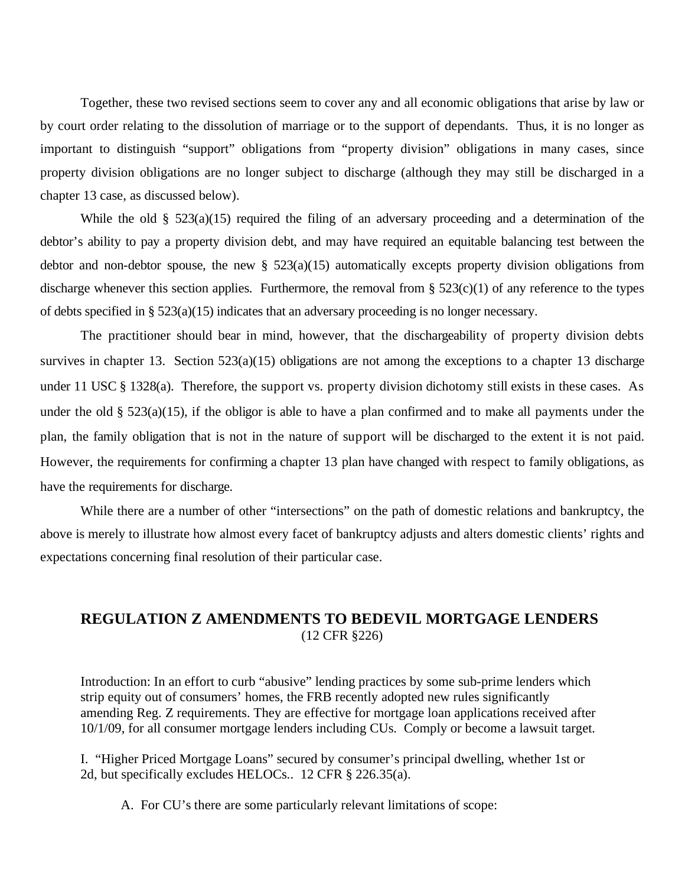Together, these two revised sections seem to cover any and all economic obligations that arise by law or by court order relating to the dissolution of marriage or to the support of dependants. Thus, it is no longer as important to distinguish "support" obligations from "property division" obligations in many cases, since property division obligations are no longer subject to discharge (although they may still be discharged in a chapter 13 case, as discussed below).

While the old §  $523(a)(15)$  required the filing of an adversary proceeding and a determination of the debtor's ability to pay a property division debt, and may have required an equitable balancing test between the debtor and non-debtor spouse, the new  $\S$  523(a)(15) automatically excepts property division obligations from discharge whenever this section applies. Furthermore, the removal from  $\S$  523(c)(1) of any reference to the types of debts specified in § 523(a)(15) indicates that an adversary proceeding is no longer necessary.

The practitioner should bear in mind, however, that the dischargeability of property division debts survives in chapter 13. Section 523(a)(15) obligations are not among the exceptions to a chapter 13 discharge under 11 USC § 1328(a). Therefore, the support vs. property division dichotomy still exists in these cases. As under the old § 523(a)(15), if the obligor is able to have a plan confirmed and to make all payments under the plan, the family obligation that is not in the nature of support will be discharged to the extent it is not paid. However, the requirements for confirming a chapter 13 plan have changed with respect to family obligations, as have the requirements for discharge.

While there are a number of other "intersections" on the path of domestic relations and bankruptcy, the above is merely to illustrate how almost every facet of bankruptcy adjusts and alters domestic clients' rights and expectations concerning final resolution of their particular case.

# **REGULATION Z AMENDMENTS TO BEDEVIL MORTGAGE LENDERS**  (12 CFR §226)

Introduction: In an effort to curb "abusive" lending practices by some sub-prime lenders which strip equity out of consumers' homes, the FRB recently adopted new rules significantly amending Reg. Z requirements. They are effective for mortgage loan applications received after 10/1/09, for all consumer mortgage lenders including CUs. Comply or become a lawsuit target.

I. "Higher Priced Mortgage Loans" secured by consumer's principal dwelling, whether 1st or 2d, but specifically excludes HELOCs.. 12 CFR § 226.35(a).

A. For CU's there are some particularly relevant limitations of scope: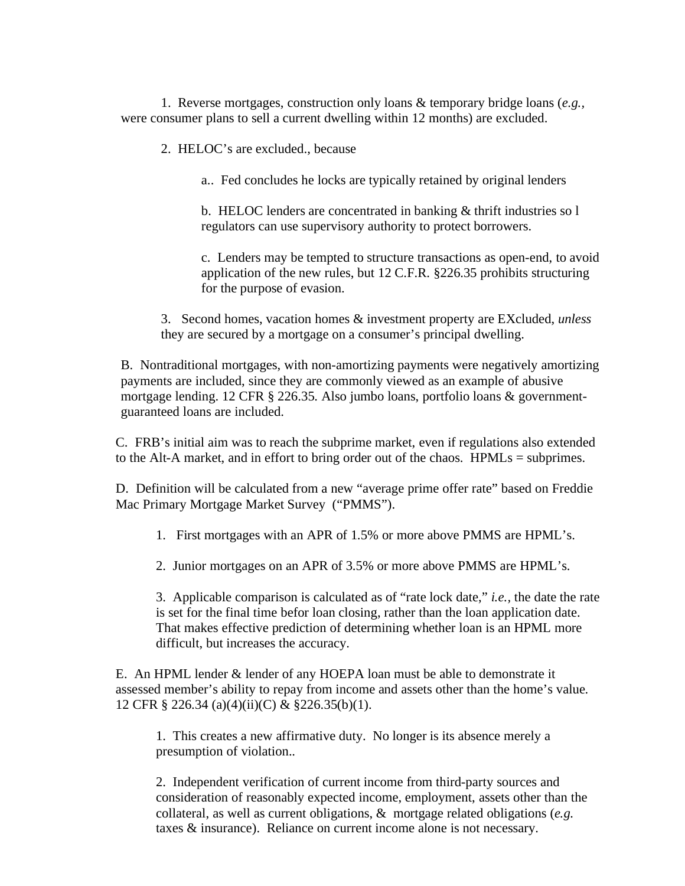1. Reverse mortgages, construction only loans & temporary bridge loans (*e.g.,*  were consumer plans to sell a current dwelling within 12 months) are excluded.

2. HELOC's are excluded., because

a.. Fed concludes he locks are typically retained by original lenders

b. HELOC lenders are concentrated in banking & thrift industries so l regulators can use supervisory authority to protect borrowers.

c. Lenders may be tempted to structure transactions as open-end, to avoid application of the new rules, but 12 C.F.R. §226.35 prohibits structuring for the purpose of evasion.

3. Second homes, vacation homes & investment property are EXcluded, *unless* they are secured by a mortgage on a consumer's principal dwelling.

B. Nontraditional mortgages, with non-amortizing payments were negatively amortizing payments are included, since they are commonly viewed as an example of abusive mortgage lending. 12 CFR § 226.35. Also jumbo loans, portfolio loans & governmentguaranteed loans are included.

C. FRB's initial aim was to reach the subprime market, even if regulations also extended to the Alt-A market, and in effort to bring order out of the chaos. HPMLs = subprimes.

D. Definition will be calculated from a new "average prime offer rate" based on Freddie Mac Primary Mortgage Market Survey ("PMMS").

1. First mortgages with an APR of 1.5% or more above PMMS are HPML's.

2. Junior mortgages on an APR of 3.5% or more above PMMS are HPML's.

3. Applicable comparison is calculated as of "rate lock date," *i.e.,* the date the rate is set for the final time befor loan closing, rather than the loan application date. That makes effective prediction of determining whether loan is an HPML more difficult, but increases the accuracy.

E. An HPML lender & lender of any HOEPA loan must be able to demonstrate it assessed member's ability to repay from income and assets other than the home's value. 12 CFR § 226.34 (a)(4)(ii)(C) & §226.35(b)(1).

1. This creates a new affirmative duty. No longer is its absence merely a presumption of violation..

2. Independent verification of current income from third-party sources and consideration of reasonably expected income, employment, assets other than the collateral, as well as current obligations, & mortgage related obligations (*e.g.*  taxes & insurance). Reliance on current income alone is not necessary.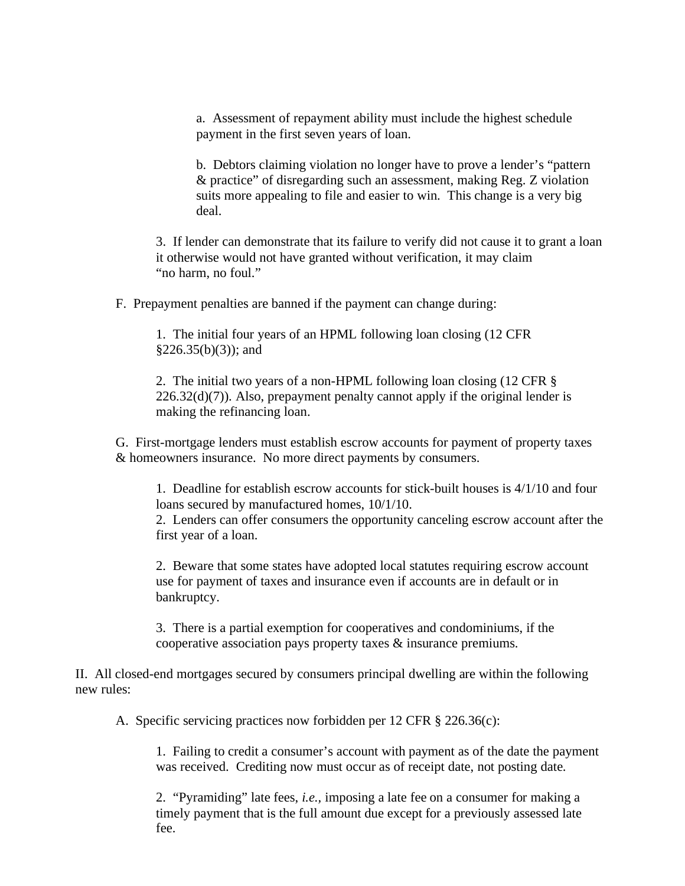a. Assessment of repayment ability must include the highest schedule payment in the first seven years of loan.

b. Debtors claiming violation no longer have to prove a lender's "pattern & practice" of disregarding such an assessment, making Reg. Z violation suits more appealing to file and easier to win. This change is a very big deal.

3. If lender can demonstrate that its failure to verify did not cause it to grant a loan it otherwise would not have granted without verification, it may claim "no harm, no foul."

F. Prepayment penalties are banned if the payment can change during:

1. The initial four years of an HPML following loan closing (12 CFR  $§226.35(b)(3)$ ; and

2. The initial two years of a non-HPML following loan closing (12 CFR §  $226.32(d)(7)$ ). Also, prepayment penalty cannot apply if the original lender is making the refinancing loan.

G. First-mortgage lenders must establish escrow accounts for payment of property taxes & homeowners insurance. No more direct payments by consumers.

1. Deadline for establish escrow accounts for stick-built houses is 4/1/10 and four loans secured by manufactured homes, 10/1/10.

2. Lenders can offer consumers the opportunity canceling escrow account after the first year of a loan.

2. Beware that some states have adopted local statutes requiring escrow account use for payment of taxes and insurance even if accounts are in default or in bankruptcy.

3. There is a partial exemption for cooperatives and condominiums, if the cooperative association pays property taxes & insurance premiums.

II. All closed-end mortgages secured by consumers principal dwelling are within the following new rules:

A. Specific servicing practices now forbidden per 12 CFR § 226.36(c):

1. Failing to credit a consumer's account with payment as of the date the payment was received. Crediting now must occur as of receipt date, not posting date.

2. "Pyramiding" late fees, *i.e.,* imposing a late fee on a consumer for making a timely payment that is the full amount due except for a previously assessed late fee.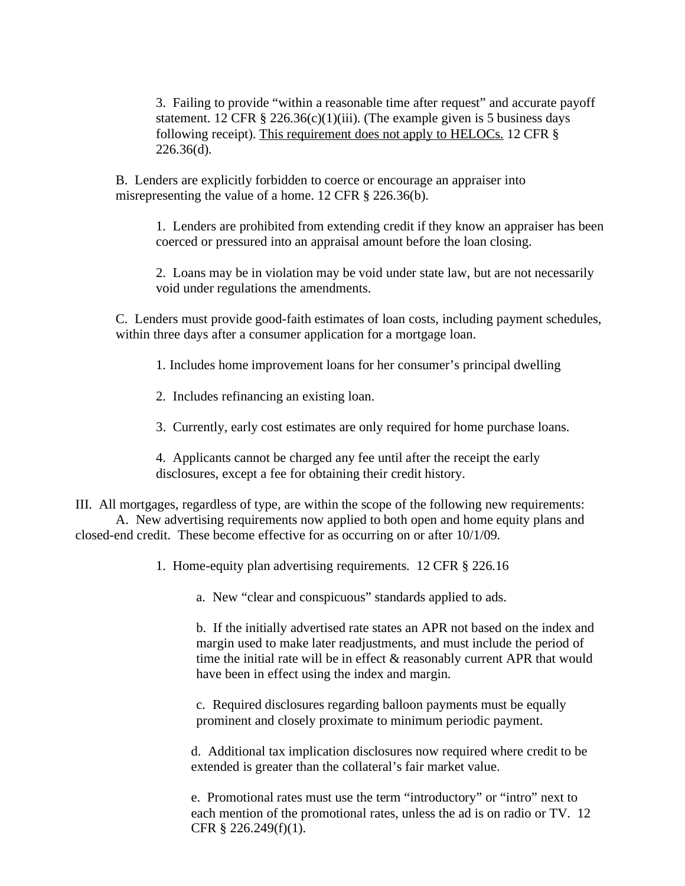3. Failing to provide "within a reasonable time after request" and accurate payoff statement. 12 CFR § 226.36(c)(1)(iii). (The example given is 5 business days following receipt). This requirement does not apply to HELOCs. 12 CFR § 226.36(d).

B. Lenders are explicitly forbidden to coerce or encourage an appraiser into misrepresenting the value of a home. 12 CFR § 226.36(b).

1. Lenders are prohibited from extending credit if they know an appraiser has been coerced or pressured into an appraisal amount before the loan closing.

2. Loans may be in violation may be void under state law, but are not necessarily void under regulations the amendments.

C. Lenders must provide good-faith estimates of loan costs, including payment schedules, within three days after a consumer application for a mortgage loan.

1. Includes home improvement loans for her consumer's principal dwelling

2. Includes refinancing an existing loan.

3. Currently, early cost estimates are only required for home purchase loans.

4. Applicants cannot be charged any fee until after the receipt the early disclosures, except a fee for obtaining their credit history.

III. All mortgages, regardless of type, are within the scope of the following new requirements: A. New advertising requirements now applied to both open and home equity plans and closed-end credit. These become effective for as occurring on or after 10/1/09.

1. Home-equity plan advertising requirements. 12 CFR § 226.16

a. New "clear and conspicuous" standards applied to ads.

b. If the initially advertised rate states an APR not based on the index and margin used to make later readjustments, and must include the period of time the initial rate will be in effect & reasonably current APR that would have been in effect using the index and margin.

c. Required disclosures regarding balloon payments must be equally prominent and closely proximate to minimum periodic payment.

d. Additional tax implication disclosures now required where credit to be extended is greater than the collateral's fair market value.

e. Promotional rates must use the term "introductory" or "intro" next to each mention of the promotional rates, unless the ad is on radio or TV. 12 CFR § 226.249(f)(1).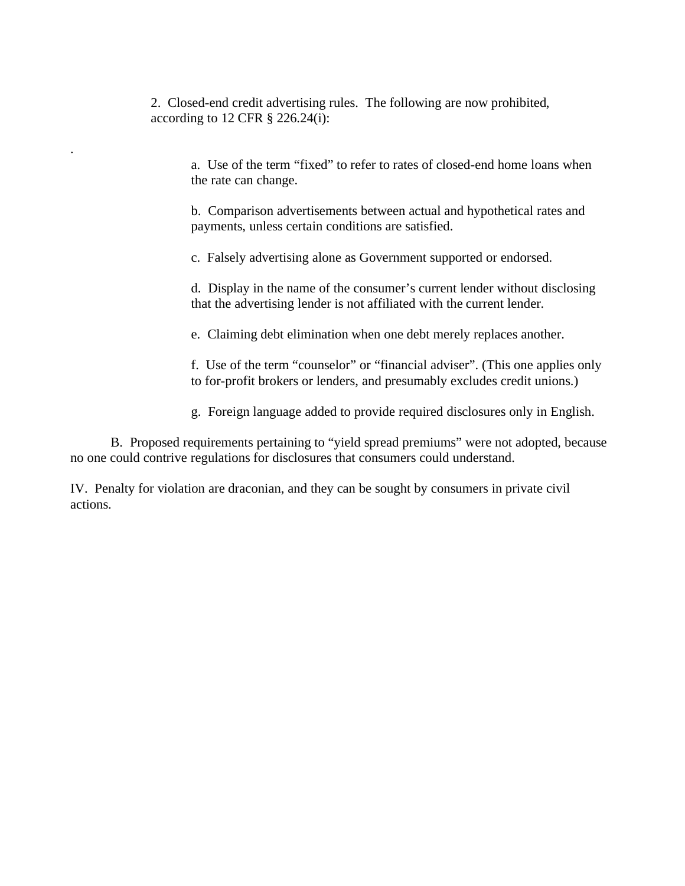2. Closed-end credit advertising rules. The following are now prohibited, according to 12 CFR § 226.24(i):

.

a. Use of the term "fixed" to refer to rates of closed-end home loans when the rate can change.

b. Comparison advertisements between actual and hypothetical rates and payments, unless certain conditions are satisfied.

c. Falsely advertising alone as Government supported or endorsed.

d. Display in the name of the consumer's current lender without disclosing that the advertising lender is not affiliated with the current lender.

e. Claiming debt elimination when one debt merely replaces another.

f. Use of the term "counselor" or "financial adviser". (This one applies only to for-profit brokers or lenders, and presumably excludes credit unions.)

g. Foreign language added to provide required disclosures only in English.

B. Proposed requirements pertaining to "yield spread premiums" were not adopted, because no one could contrive regulations for disclosures that consumers could understand.

IV. Penalty for violation are draconian, and they can be sought by consumers in private civil actions.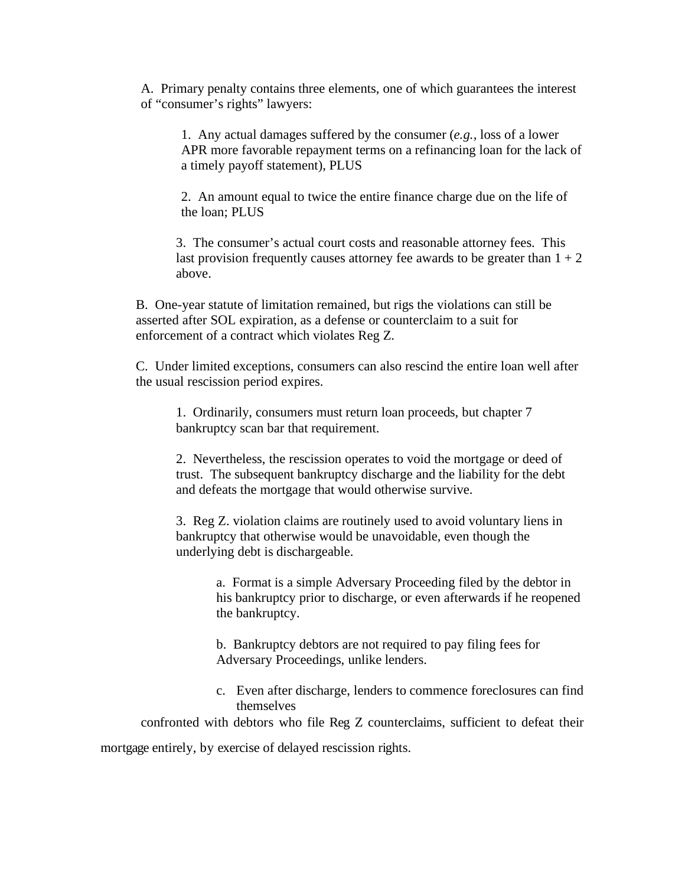A. Primary penalty contains three elements, one of which guarantees the interest of "consumer's rights" lawyers:

1. Any actual damages suffered by the consumer (*e.g.,* loss of a lower APR more favorable repayment terms on a refinancing loan for the lack of a timely payoff statement), PLUS

2. An amount equal to twice the entire finance charge due on the life of the loan; PLUS

3. The consumer's actual court costs and reasonable attorney fees. This last provision frequently causes attorney fee awards to be greater than  $1 + 2$ above.

B. One-year statute of limitation remained, but rigs the violations can still be asserted after SOL expiration, as a defense or counterclaim to a suit for enforcement of a contract which violates Reg Z.

C. Under limited exceptions, consumers can also rescind the entire loan well after the usual rescission period expires.

1. Ordinarily, consumers must return loan proceeds, but chapter 7 bankruptcy scan bar that requirement.

2. Nevertheless, the rescission operates to void the mortgage or deed of trust. The subsequent bankruptcy discharge and the liability for the debt and defeats the mortgage that would otherwise survive.

3. Reg Z. violation claims are routinely used to avoid voluntary liens in bankruptcy that otherwise would be unavoidable, even though the underlying debt is dischargeable.

> a. Format is a simple Adversary Proceeding filed by the debtor in his bankruptcy prior to discharge, or even afterwards if he reopened the bankruptcy.

b. Bankruptcy debtors are not required to pay filing fees for Adversary Proceedings, unlike lenders.

c. Even after discharge, lenders to commence foreclosures can find themselves

confronted with debtors who file Reg Z counterclaims, sufficient to defeat their

mortgage entirely, by exercise of delayed rescission rights.